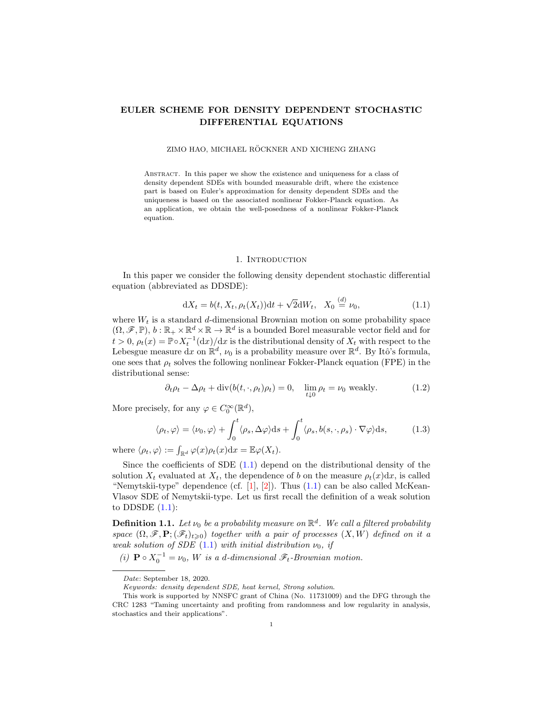# EULER SCHEME FOR DENSITY DEPENDENT STOCHASTIC DIFFERENTIAL EQUATIONS

### ZIMO HAO, MICHAEL RÖCKNER AND XICHENG ZHANG

Abstract. In this paper we show the existence and uniqueness for a class of density dependent SDEs with bounded measurable drift, where the existence part is based on Euler's approximation for density dependent SDEs and the uniqueness is based on the associated nonlinear Fokker-Planck equation. As an application, we obtain the well-posedness of a nonlinear Fokker-Planck equation.

### <span id="page-0-3"></span><span id="page-0-2"></span><span id="page-0-0"></span>1. Introduction

In this paper we consider the following density dependent stochastic differential equation (abbreviated as DDSDE):

$$
dX_t = b(t, X_t, \rho_t(X_t))dt + \sqrt{2}dW_t, \quad X_0 \stackrel{(d)}{=} \nu_0,
$$
\n(1.1)

where  $W_t$  is a standard d-dimensional Brownian motion on some probability space  $(\Omega, \mathscr{F}, \mathbb{P}), b : \mathbb{R}_+ \times \mathbb{R}^d \times \mathbb{R} \to \mathbb{R}^d$  is a bounded Borel measurable vector field and for  $t > 0$ ,  $\rho_t(x) = \mathbb{P} \circ X_t^{-1}(dx)/dx$  is the distributional density of  $X_t$  with respect to the Lebesgue measure dx on  $\mathbb{R}^d$ ,  $\nu_0$  is a probability measure over  $\mathbb{R}^d$ . By Itô's formula, one sees that  $\rho_t$  solves the following nonlinear Fokker-Planck equation (FPE) in the distributional sense:

$$
\partial_t \rho_t - \Delta \rho_t + \text{div}(b(t, \cdot, \rho_t) \rho_t) = 0, \quad \lim_{t \downarrow 0} \rho_t = \nu_0 \text{ weakly.}
$$
 (1.2)

More precisely, for any  $\varphi \in C_0^{\infty}(\mathbb{R}^d)$ ,

$$
\langle \rho_t, \varphi \rangle = \langle \nu_0, \varphi \rangle + \int_0^t \langle \rho_s, \Delta \varphi \rangle ds + \int_0^t \langle \rho_s, b(s, \cdot, \rho_s) \cdot \nabla \varphi \rangle ds, \tag{1.3}
$$

where  $\langle \rho_t, \varphi \rangle := \int_{\mathbb{R}^d} \varphi(x) \rho_t(x) dx = \mathbb{E} \varphi(X_t).$ 

Since the coefficients of SDE  $(1.1)$  depend on the distributional density of the solution  $X_t$  evaluated at  $X_t$ , the dependence of b on the measure  $\rho_t(x)dx$ , is called "Nemytskii-type" dependence (cf.  $[1]$ ,  $[2]$ ). Thus  $(1.1)$  can be also called McKean-Vlasov SDE of Nemytskii-type. Let us first recall the definition of a weak solution to DDSDE  $(1.1)$ :

<span id="page-0-1"></span>**Definition 1.1.** Let  $\nu_0$  be a probability measure on  $\mathbb{R}^d$ . We call a filtered probability space  $(\Omega, \mathscr{F}, \mathbf{P}; (\mathscr{F}_t)_{t\geq 0})$  together with a pair of processes  $(X, W)$  defined on it a weak solution of SDE [\(1.1\)](#page-0-0) with initial distribution  $\nu_0$ , if

(i)  $\mathbf{P} \circ X_0^{-1} = \nu_0$ , W is a d-dimensional  $\mathscr{F}_t$ -Brownian motion.

Date: September 18, 2020.

Keywords: density dependent SDE, heat kernel, Strong solution.

This work is supported by NNSFC grant of China (No. 11731009) and the DFG through the CRC 1283 "Taming uncertainty and profiting from randomness and low regularity in analysis, stochastics and their applications".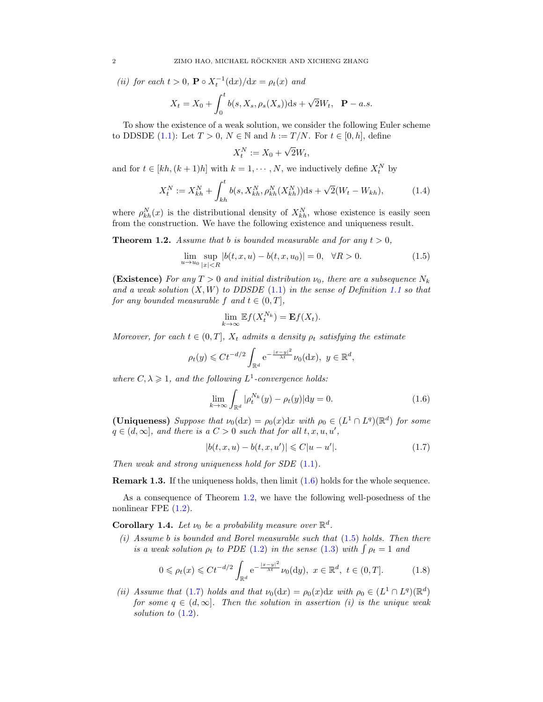(ii) for each  $t > 0$ ,  $\mathbf{P} \circ X_t^{-1}(\mathrm{d}x)/\mathrm{d}x = \rho_t(x)$  and

$$
X_t = X_0 + \int_0^t b(s, X_s, \rho_s(X_s))ds + \sqrt{2}W_t, \quad \mathbf{P} - a.s.
$$

To show the existence of a weak solution, we consider the following Euler scheme to DDSDE [\(1.1\)](#page-0-0): Let  $T > 0$ ,  $N \in \mathbb{N}$  and  $h := T/N$ . For  $t \in [0, h]$ , define

<span id="page-1-4"></span>
$$
X_t^N := X_0 + \sqrt{2}W_t,
$$

and for  $t \in [kh, (k+1)h]$  with  $k = 1, \dots, N$ , we inductively define  $X_t^N$  by

$$
X_t^N := X_{kh}^N + \int_{kh}^t b(s, X_{kh}^N, \rho_{kh}^N(X_{kh}^N))ds + \sqrt{2}(W_t - W_{kh}),\tag{1.4}
$$

where  $\rho_{kh}^N(x)$  is the distributional density of  $X_{kh}^N$ , whose existence is easily seen from the construction. We have the following existence and uniqueness result.

<span id="page-1-1"></span>**Theorem 1.2.** Assume that b is bounded measurable and for any  $t > 0$ .

$$
\lim_{u \to u_0} \sup_{|x| < R} |b(t, x, u) - b(t, x, u_0)| = 0, \quad \forall R > 0. \tag{1.5}
$$

(Existence) For any  $T > 0$  and initial distribution  $\nu_0$ , there are a subsequence  $N_k$ and a weak solution  $(X, W)$  to DDSDE [\(1.1\)](#page-0-0) in the sense of Definition [1.1](#page-0-1) so that for any bounded measurable f and  $t \in (0, T]$ ,

<span id="page-1-2"></span>
$$
\lim_{k \to \infty} \mathbb{E} f(X_t^{N_k}) = \mathbf{E} f(X_t).
$$

Moreover, for each  $t \in (0, T]$ ,  $X_t$  admits a density  $\rho_t$  satisfying the estimate

$$
\rho_t(y) \leqslant C t^{-d/2} \int_{\mathbb{R}^d} e^{-\frac{|x-y|^2}{\lambda t}} \nu_0(\mathrm{d} x), \ y \in \mathbb{R}^d,
$$

where  $C, \lambda \geq 1$ , and the following  $L^1$ -convergence holds:

<span id="page-1-0"></span>
$$
\lim_{k \to \infty} \int_{\mathbb{R}^d} |\rho_t^{N_k}(y) - \rho_t(y)| \mathrm{d}y = 0.
$$
\n(1.6)

(Uniqueness) Suppose that  $\nu_0(\text{d}x) = \rho_0(x) \text{d}x$  with  $\rho_0 \in (L^1 \cap L^q)(\mathbb{R}^d)$  for some  $q \in (d, \infty]$ , and there is a  $C > 0$  such that for all  $t, x, u, u'$ ,

<span id="page-1-3"></span>
$$
|b(t, x, u) - b(t, x, u')| \leq C|u - u'|.
$$
 (1.7)

Then weak and strong uniqueness hold for  $SDE$   $(1.1)$ .

**Remark 1.3.** If the uniqueness holds, then limit  $(1.6)$  holds for the whole sequence.

As a consequence of Theorem [1.2,](#page-1-1) we have the following well-posedness of the nonlinear FPE [\(1.2\)](#page-0-2).

**Corollary 1.4.** Let  $\nu_0$  be a probability measure over  $\mathbb{R}^d$ .

 $(i)$  Assume b is bounded and Borel measurable such that  $(1.5)$  holds. Then there is a weak solution  $\rho_t$  to PDE [\(1.2\)](#page-0-2) in the sense [\(1.3\)](#page-0-3) with  $\int \rho_t = 1$  and

$$
0 \le \rho_t(x) \le Ct^{-d/2} \int_{\mathbb{R}^d} e^{-\frac{|x-y|^2}{\lambda t}} \nu_0(\mathrm{d}y), \ x \in \mathbb{R}^d, \ t \in (0, T]. \tag{1.8}
$$

(ii) Assume that [\(1.7\)](#page-1-3) holds and that  $\nu_0(\text{d}x) = \rho_0(x) \text{d}x$  with  $\rho_0 \in (L^1 \cap L^q)(\mathbb{R}^d)$ for some  $q \in (d, \infty]$ . Then the solution in assertion (i) is the unique weak solution to  $(1.2)$ .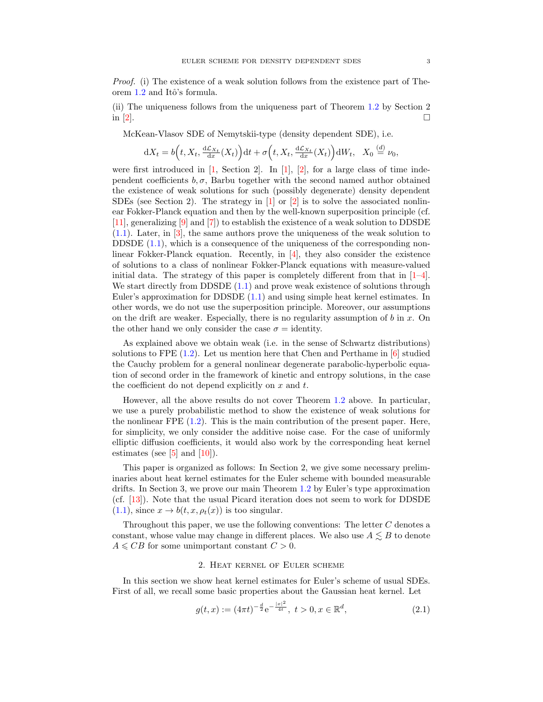Proof. (i) The existence of a weak solution follows from the existence part of The-orem [1.2](#page-1-1) and Itô's formula.

(ii) The uniqueness follows from the uniqueness part of Theorem [1.2](#page-1-1) by Section 2 in  $\lbrack 2 \rbrack$ .

McKean-Vlasov SDE of Nemytskii-type (density dependent SDE), i.e.

$$
dX_t = b\Big(t, X_t, \frac{d\mathcal{L}_{X_t}}{dx}(X_t)\Big)dt + \sigma\Big(t, X_t, \frac{d\mathcal{L}_{X_t}}{dx}(X_t)\Big)dW_t, \quad X_0 \stackrel{(d)}{=} \nu_0,
$$

were first introduced in  $[1, \text{ Section 2}]$ . In  $[1, 2]$ , for a large class of time independent coefficients  $b, \sigma$ , Barbu together with the second named author obtained the existence of weak solutions for such (possibly degenerate) density dependent SDEs (see Section 2). The strategy in  $[1]$  or  $[2]$  is to solve the associated nonlinear Fokker-Planck equation and then by the well-known superposition principle (cf. [\[11\]](#page-12-2), generalizing [\[9\]](#page-12-3) and [\[7\]](#page-12-4)) to establish the existence of a weak solution to DDSDE [\(1.1\)](#page-0-0). Later, in [\[3\]](#page-12-5), the same authors prove the uniqueness of the weak solution to DDSDE  $(1.1)$ , which is a consequence of the uniqueness of the corresponding nonlinear Fokker-Planck equation. Recently, in [\[4\]](#page-12-6), they also consider the existence of solutions to a class of nonlinear Fokker-Planck equations with measure-valued initial data. The strategy of this paper is completely different from that in  $[1-4]$  $[1-4]$ . We start directly from DDSDE  $(1.1)$  and prove weak existence of solutions through Euler's approximation for DDSDE [\(1.1\)](#page-0-0) and using simple heat kernel estimates. In other words, we do not use the superposition principle. Moreover, our assumptions on the drift are weaker. Especially, there is no regularity assumption of  $b$  in  $x$ . On the other hand we only consider the case  $\sigma =$  identity.

As explained above we obtain weak (i.e. in the sense of Schwartz distributions) solutions to FPE  $(1.2)$ . Let us mention here that Chen and Perthame in  $[6]$  studied the Cauchy problem for a general nonlinear degenerate parabolic-hyperbolic equation of second order in the framework of kinetic and entropy solutions, in the case the coefficient do not depend explicitly on  $x$  and  $t$ .

However, all the above results do not cover Theorem [1.2](#page-1-1) above. In particular, we use a purely probabilistic method to show the existence of weak solutions for the nonlinear  $\text{FPE } (1.2)$  $\text{FPE } (1.2)$ . This is the main contribution of the present paper. Here, for simplicity, we only consider the additive noise case. For the case of uniformly elliptic diffusion coefficients, it would also work by the corresponding heat kernel estimates (see  $[5]$  and  $[10]$ ).

This paper is organized as follows: In Section 2, we give some necessary preliminaries about heat kernel estimates for the Euler scheme with bounded measurable drifts. In Section 3, we prove our main Theorem [1.2](#page-1-1) by Euler's type approximation (cf. [\[13\]](#page-12-10)). Note that the usual Picard iteration does not seem to work for DDSDE  $(1.1)$ , since  $x \to b(t, x, \rho_t(x))$  is too singular.

Throughout this paper, we use the following conventions: The letter  $C$  denotes a constant, whose value may change in different places. We also use  $A \lesssim B$  to denote  $A \leqslant CB$  for some unimportant constant  $C > 0$ .

### <span id="page-2-0"></span>2. Heat kernel of Euler scheme

In this section we show heat kernel estimates for Euler's scheme of usual SDEs. First of all, we recall some basic properties about the Gaussian heat kernel. Let

$$
g(t,x) := (4\pi t)^{-\frac{d}{2}} e^{-\frac{|x|^2}{4t}}, \ t > 0, x \in \mathbb{R}^d,
$$
\n(2.1)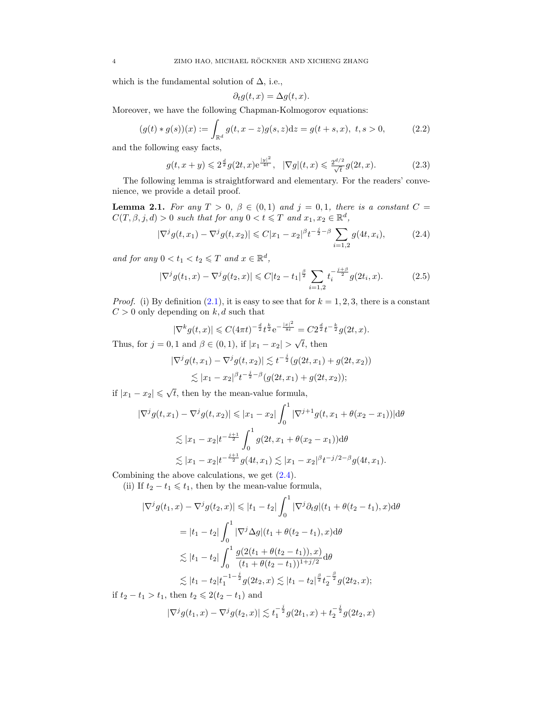which is the fundamental solution of  $\Delta$ , i.e.,

<span id="page-3-2"></span><span id="page-3-1"></span><span id="page-3-0"></span>
$$
\partial_t g(t, x) = \Delta g(t, x).
$$

Moreover, we have the following Chapman-Kolmogorov equations:

$$
(g(t) * g(s))(x) := \int_{\mathbb{R}^d} g(t, x - z)g(s, z)dz = g(t + s, x), \ t, s > 0,
$$
 (2.2)

and the following easy facts,

$$
g(t, x + y) \leq 2^{\frac{d}{2}} g(2t, x) e^{\frac{|y|^2}{4t}}, \quad |\nabla g|(t, x) \leq \frac{2^{d/2}}{\sqrt{t}} g(2t, x). \tag{2.3}
$$

The following lemma is straightforward and elementary. For the readers' convenience, we provide a detail proof.

<span id="page-3-3"></span>**Lemma 2.1.** For any  $T > 0$ ,  $\beta \in (0,1)$  and  $j = 0,1$ , there is a constant  $C =$  $C(T, \beta, j, d) > 0$  such that for any  $0 < t \leq T$  and  $x_1, x_2 \in \mathbb{R}^d$ ,

$$
|\nabla^j g(t, x_1) - \nabla^j g(t, x_2)| \leq C|x_1 - x_2|^{\beta} t^{-\frac{j}{2} - \beta} \sum_{i=1,2} g(4t, x_i), \tag{2.4}
$$

and for any  $0 < t_1 < t_2 \leq T$  and  $x \in \mathbb{R}^d$ ,

$$
|\nabla^j g(t_1, x) - \nabla^j g(t_2, x)| \leq C|t_2 - t_1|^{\frac{\beta}{2}} \sum_{i=1,2} t_i^{-\frac{j+\beta}{2}} g(2t_i, x). \tag{2.5}
$$

*Proof.* (i) By definition  $(2.1)$ , it is easy to see that for  $k = 1, 2, 3$ , there is a constant  $C > 0$  only depending on  $k, d$  such that

<span id="page-3-4"></span>
$$
|\nabla^k g(t,x)| \leqslant C(4\pi t)^{-\frac{d}{2}} t^{\frac{k}{2}} e^{-\frac{|x|^2}{8t}} = C2^{\frac{d}{2}} t^{-\frac{k}{2}} g(2t,x).
$$

Thus, for  $j = 0, 1$  and  $\beta \in (0, 1)$ , if  $|x_1 - x_2| >$  $\overline{t}$ , then

$$
\begin{aligned} |\nabla^j g(t, x_1) - \nabla^j g(t, x_2)| &\leq t^{-\frac{j}{2}} (g(2t, x_1) + g(2t, x_2)) \\ &\leq |x_1 - x_2|^{\beta} t^{-\frac{j}{2} - \beta} (g(2t, x_1) + g(2t, x_2)); \end{aligned}
$$

if  $|x_1 - x_2| \leqslant \sqrt{2}$ t, then by the mean-value formula,

$$
|\nabla^j g(t, x_1) - \nabla^j g(t, x_2)| \le |x_1 - x_2| \int_0^1 |\nabla^{j+1} g(t, x_1 + \theta(x_2 - x_1))| d\theta
$$
  
\n
$$
\lesssim |x_1 - x_2| t^{-\frac{j+1}{2}} \int_0^1 g(2t, x_1 + \theta(x_2 - x_1)) d\theta
$$
  
\n
$$
\lesssim |x_1 - x_2| t^{-\frac{j+1}{2}} g(4t, x_1) \lesssim |x_1 - x_2|^{\beta} t^{-j/2-\beta} g(4t, x_1).
$$

Combining the above calculations, we get [\(2.4\)](#page-3-0).

(ii) If  $t_2 - t_1 \leq t_1$ , then by the mean-value formula,

$$
|\nabla^j g(t_1, x) - \nabla^j g(t_2, x)| \le |t_1 - t_2| \int_0^1 |\nabla^j \partial_t g|(t_1 + \theta(t_2 - t_1), x) d\theta
$$
  
\n
$$
= |t_1 - t_2| \int_0^1 |\nabla^j \Delta g|(t_1 + \theta(t_2 - t_1), x) d\theta
$$
  
\n
$$
\lesssim |t_1 - t_2| \int_0^1 \frac{g(2(t_1 + \theta(t_2 - t_1)), x)}{(t_1 + \theta(t_2 - t_1))^{1 + j/2}} d\theta
$$
  
\n
$$
\lesssim |t_1 - t_2| t_1^{-1 - \frac{j}{2}} g(2t_2, x) \lesssim |t_1 - t_2|^{\frac{\beta}{2}} t_2^{-\frac{\beta}{2}} g(2t_2, x);
$$

if  $t_2 - t_1 > t_1$ , then  $t_2 \leq 2(t_2 - t_1)$  and

$$
|\nabla^j g(t_1, x) - \nabla^j g(t_2, x)| \lesssim t_1^{-\frac{j}{2}} g(2t_1, x) + t_2^{-\frac{j}{2}} g(2t_2, x)
$$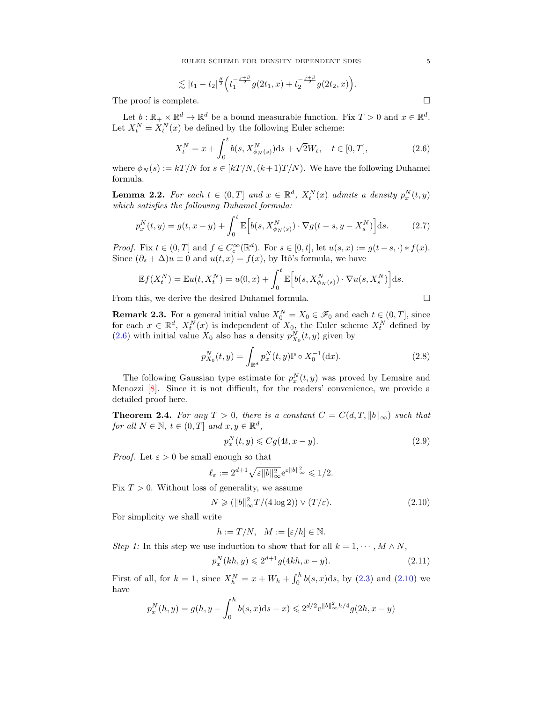$$
\lesssim |t_1-t_2|^{\frac{\beta}{2}} \Big( t_1^{-\frac{j+\beta}{2}} g(2t_1,x) + t_2^{-\frac{j+\beta}{2}} g(2t_2,x) \Big).
$$

The proof is complete.  $\Box$ 

Let  $b: \mathbb{R}_+ \times \mathbb{R}^d \to \mathbb{R}^d$  be a bound measurable function. Fix  $T > 0$  and  $x \in \mathbb{R}^d$ . Let  $X_t^N = X_t^N(x)$  be defined by the following Euler scheme:

$$
X_t^N = x + \int_0^t b(s, X_{\phi_N(s)}^N) ds + \sqrt{2} W_t, \quad t \in [0, T],
$$
\n(2.6)

where  $\phi_N(s) := kT/N$  for  $s \in [kT/N, (k+1)T/N)$ . We have the following Duhamel formula.

**Lemma 2.2.** For each  $t \in (0,T]$  and  $x \in \mathbb{R}^d$ ,  $X_t^N(x)$  admits a density  $p_x^N(t,y)$ which satisfies the following Duhamel formula:

$$
p_x^N(t, y) = g(t, x - y) + \int_0^t \mathbb{E}\Big[b(s, X_{\phi_N(s)}^N) \cdot \nabla g(t - s, y - X_s^N)\Big]ds.
$$
 (2.7)

*Proof.* Fix  $t \in (0,T]$  and  $f \in C_c^{\infty}(\mathbb{R}^d)$ . For  $s \in [0,t]$ , let  $u(s,x) := g(t-s,\cdot) * f(x)$ . Since  $(\partial_s + \Delta)u \equiv 0$  and  $u(t, x) = f(x)$ , by Itô's formula, we have

$$
\mathbb{E}f(X_t^N) = \mathbb{E}u(t, X_t^N) = u(0, x) + \int_0^t \mathbb{E}\Big[b(s, X_{\phi_N(s)}^N) \cdot \nabla u(s, X_s^N)\Big]ds.
$$

From this, we derive the desired Duhamel formula.

<span id="page-4-6"></span><span id="page-4-4"></span><span id="page-4-3"></span><span id="page-4-0"></span>
$$
\Box_{\mathbb{C}}
$$

**Remark 2.3.** For a general initial value  $X_0^N = X_0 \in \mathcal{F}_0$  and each  $t \in (0, T]$ , since for each  $x \in \mathbb{R}^d$ ,  $X_t^N(x)$  is independent of  $X_0$ , the Euler scheme  $X_t^N$  defined by [\(2.6\)](#page-4-0) with initial value  $X_0$  also has a density  $p_{X_0}^N(t, y)$  given by

$$
p_{X_0}^N(t, y) = \int_{\mathbb{R}^d} p_x^N(t, y) \mathbb{P} \circ X_0^{-1}(\text{d}x). \tag{2.8}
$$

The following Gaussian type estimate for  $p_x^N(t, y)$  was proved by Lemaire and Menozzi [\[8\]](#page-12-11). Since it is not difficult, for the readers' convenience, we provide a detailed proof here.

<span id="page-4-5"></span>**Theorem 2.4.** For any  $T > 0$ , there is a constant  $C = C(d, T, ||b||_{\infty})$  such that for all  $N \in \mathbb{N}$ ,  $t \in (0,T]$  and  $x, y \in \mathbb{R}^d$ ,

<span id="page-4-1"></span>
$$
p_x^N(t, y) \leqslant Cg(4t, x - y). \tag{2.9}
$$

*Proof.* Let  $\varepsilon > 0$  be small enough so that

$$
\ell_{\varepsilon} := 2^{d+1} \sqrt{\varepsilon \|b\|_{\infty}^2} e^{\varepsilon \|b\|_{\infty}^2} \leq 1/2.
$$

Fix  $T > 0$ . Without loss of generality, we assume

$$
N \geq (||b||_{\infty}^{2}T/(4\log 2)) \vee (T/\varepsilon). \tag{2.10}
$$

For simplicity we shall write

<span id="page-4-2"></span>
$$
h := T/N, \quad M := [\varepsilon/h] \in \mathbb{N}.
$$

Step 1: In this step we use induction to show that for all  $k = 1, \dots, M \wedge N$ ,

$$
p_x^N(kh, y) \leq 2^{d+1} g(4kh, x - y).
$$
\n(2.11)

First of all, for  $k = 1$ , since  $X_h^N = x + W_h + \int_0^h b(s, x) ds$ , by [\(2.3\)](#page-3-1) and [\(2.10\)](#page-4-1) we have

$$
p_x^N(h, y) = g(h, y - \int_0^h b(s, x)ds - x) \le 2^{d/2} e^{\|b\|_{\infty}^2 h/4} g(2h, x - y)
$$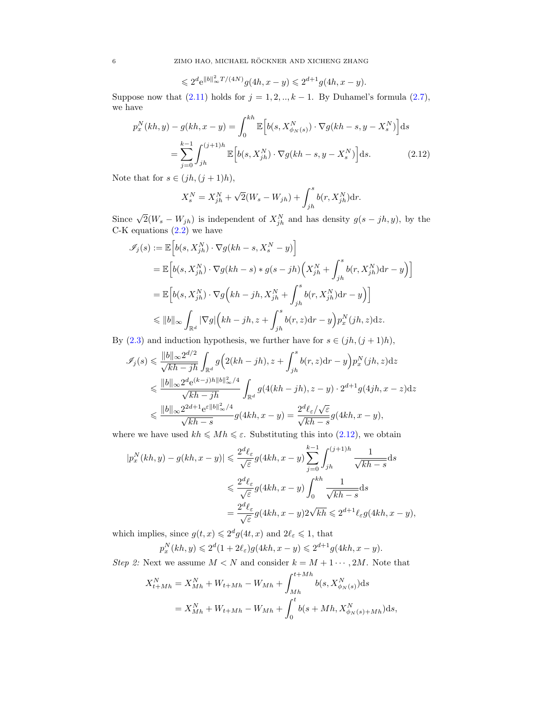$$
\leqslant 2^d \mathrm {e}^{\|b\|_\infty^2 T/(4N)} g(4h,x-y) \leqslant 2^{d+1} g(4h,x-y).
$$

Suppose now that  $(2.11)$  holds for  $j = 1, 2, \ldots, k - 1$ . By Duhamel's formula  $(2.7)$ , we have

$$
p_x^N(kh, y) - g(kh, x - y) = \int_0^{kh} \mathbb{E}\Big[b(s, X_{\phi_N(s)}^N) \cdot \nabla g(kh - s, y - X_s^N)\Big] ds
$$
  
= 
$$
\sum_{j=0}^{k-1} \int_{jh}^{(j+1)h} \mathbb{E}\Big[b(s, X_{jh}^N) \cdot \nabla g(kh - s, y - X_s^N)\Big] ds.
$$
 (2.12)

Note that for  $s \in (jh, (j + 1)h)$ ,

<span id="page-5-0"></span>
$$
X_s^N = X_{jh}^N + \sqrt{2}(W_s - W_{jh}) + \int_{jh}^s b(r, X_{jh}^N) dr.
$$

Since  $\sqrt{2}(W_s - W_{jh})$  is independent of  $X_{jh}^N$  and has density  $g(s - jh, y)$ , by the C-K equations  $(2.2)$  we have

$$
\begin{aligned} \mathscr{I}_j(s) &:= \mathbb{E}\Big[b(s,X_{jh}^N)\cdot\nabla g(kh-s,X_s^N-y)\Big] \\ & = \mathbb{E}\Big[b(s,X_{jh}^N)\cdot\nabla g(kh-s)*g(s-jh)\Big(X_{jh}^N+\int_{jh}^s b(r,X_{jh}^N){\rm d}r-y\Big)\Big] \\ & = \mathbb{E}\Big[b(s,X_{jh}^N)\cdot\nabla g\Big(kh-jh,X_{jh}^N+\int_{jh}^s b(r,X_{jh}^N){\rm d}r-y\Big)\Big] \\ & \quad \leqslant \|b\|_\infty\int_{\mathbb{R}^d}|\nabla g|\Big(kh-jh,z+\int_{jh}^s b(r,z){\rm d}r-y\Big)p^N_x(jh,z){\rm d}z. \end{aligned}
$$

By [\(2.3\)](#page-3-1) and induction hypothesis, we further have for  $s \in (jh, (j + 1)h)$ ,

$$
\mathscr{I}_j(s) \leq \frac{\|b\|_{\infty} 2^{d/2}}{\sqrt{kh - jh}} \int_{\mathbb{R}^d} g\Big(2(kh - jh), z + \int_{jh}^s b(r, z) dr - y\Big) p_x^N(jh, z) dz
$$
  

$$
\leq \frac{\|b\|_{\infty} 2^d e^{(k-j)h\|b\|_{\infty}^2/4}}{\sqrt{kh - jh}} \int_{\mathbb{R}^d} g(4(kh - jh), z - y) \cdot 2^{d+1} g(4jh, x - z) dz
$$
  

$$
\leq \frac{\|b\|_{\infty} 2^{2d+1} e^{\varepsilon \|b\|_{\infty}^2/4}}{\sqrt{kh - s}} g(4kh, x - y) = \frac{2^d \ell_{\varepsilon}/\sqrt{\varepsilon}}{\sqrt{kh - s}} g(4kh, x - y),
$$

where we have used  $kh \leq Mh \leq \varepsilon$ . Substituting this into [\(2.12\)](#page-5-0), we obtain

$$
|p_x^N(kh, y) - g(kh, x - y)| \leq \frac{2^d \ell_{\varepsilon}}{\sqrt{\varepsilon}} g(4kh, x - y) \sum_{j=0}^{k-1} \int_{jh}^{(j+1)h} \frac{1}{\sqrt{kh - s}} ds
$$
  

$$
\leq \frac{2^d \ell_{\varepsilon}}{\sqrt{\varepsilon}} g(4kh, x - y) \int_0^{kh} \frac{1}{\sqrt{kh - s}} ds
$$
  

$$
= \frac{2^d \ell_{\varepsilon}}{\sqrt{\varepsilon}} g(4kh, x - y) 2\sqrt{kh} \leq 2^{d+1} \ell_{\varepsilon} g(4kh, x - y),
$$

which implies, since  $g(t, x) \leq 2^d g(4t, x)$  and  $2\ell_{\varepsilon} \leq 1$ , that

$$
p_x^N(kh, y) \leq 2^d (1 + 2\ell_{\varepsilon}) g(4kh, x - y) \leq 2^{d+1} g(4kh, x - y).
$$

Step 2: Next we assume  $M < N$  and consider  $k = M + 1 \cdots, 2M$ . Note that

$$
X_{t+Mh}^{N} = X_{Mh}^{N} + W_{t+Mh} - W_{Mh} + \int_{Mh}^{t+Mh} b(s, X_{\phi_N(s)}^{N}) ds
$$
  
=  $X_{Mh}^{N} + W_{t+Mh} - W_{Mh} + \int_{0}^{t} b(s + Mh, X_{\phi_N(s)+Mh}^{N}) ds,$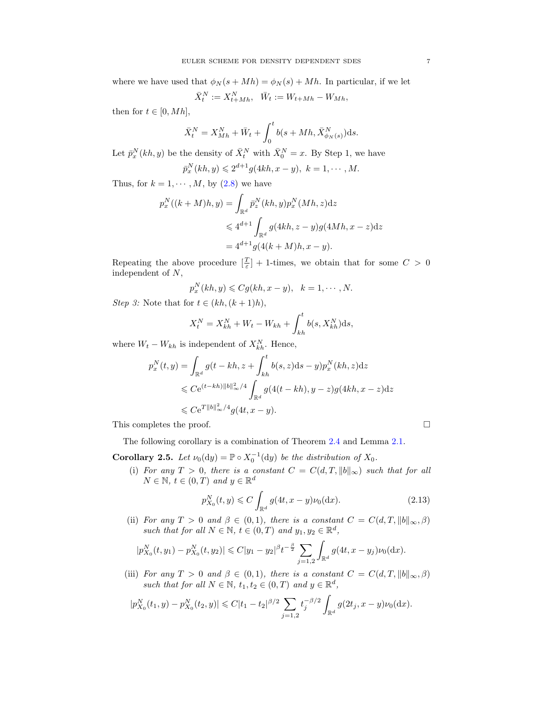where we have used that  $\phi_N(s + Mh) = \phi_N(s) + Mh$ . In particular, if we let

$$
\bar X^N_t:=X^N_{t+Mh},\ \ \bar W_t:=W_{t+Mh}-W_{Mh},
$$

then for  $t \in [0, Mh]$ ,

$$
\bar{X}_t^N = X_{Mh}^N + \bar{W}_t + \int_0^t b(s + Mh, \bar{X}_{\phi_N(s)}^N) \mathrm{d}s.
$$

Let  $\bar{p}_x^N(kh, y)$  be the density of  $\bar{X}_t^N$  with  $\bar{X}_0^N = x$ . By Step 1, we have

$$
\bar{p}_x^N(kh, y) \leq 2^{d+1} g(4kh, x - y), \ k = 1, \cdots, M.
$$

Thus, for  $k = 1, \dots, M$ , by  $(2.8)$  we have

$$
p_x^N((k+M)h, y) = \int_{\mathbb{R}^d} \bar{p}_z^N(kh, y) p_x^N(Mh, z) dz
$$
  
\$\leqslant 4^{d+1} \int\_{\mathbb{R}^d} g(4kh, z - y) g(4Mh, x - z) dz\$  

$$
= 4^{d+1} g(4(k+M)h, x - y).
$$

Repeating the above procedure  $\left[\frac{T}{\varepsilon}\right] + 1$ -times, we obtain that for some  $C > 0$ independent of N,

$$
p_x^N(kh, y) \leq Cg(kh, x - y), \quad k = 1, \cdots, N.
$$

Step 3: Note that for  $t \in (kh, (k+1)h)$ ,

$$
X_t^N = X_{kh}^N + W_t - W_{kh} + \int_{kh}^t b(s, X_{kh}^N) \, ds,
$$

where  $W_t - W_{kh}$  is independent of  $X_{kh}^N$ . Hence,

$$
p_x^N(t, y) = \int_{\mathbb{R}^d} g(t - kh, z + \int_{kh}^t b(s, z)ds - y)p_x^N(kh, z)dz
$$
  
\$\leqslant C e^{(t - kh)} ||b||^2\_{\infty}/4 \int\_{\mathbb{R}^d} g(4(t - kh), y - z)g(4kh, x - z)dz\$  
\$\leqslant C e^{T ||b||^2\_{\infty}/4} g(4t, x - y).

This completes the proof.

The following corollary is a combination of Theorem [2.4](#page-4-5) and Lemma [2.1.](#page-3-3)

<span id="page-6-0"></span>**Corollary 2.5.** Let  $\nu_0(dy) = \mathbb{P} \circ X_0^{-1}(dy)$  be the distribution of  $X_0$ .

(i) For any  $T > 0$ , there is a constant  $C = C(d, T, ||b||_{\infty})$  such that for all  $N \in \mathbb{N}, t \in (0, T)$  and  $y \in \mathbb{R}^d$ 

$$
p_{X_0}^N(t, y) \leq C \int_{\mathbb{R}^d} g(4t, x - y) \nu_0(\mathrm{d}x). \tag{2.13}
$$

(ii) For any  $T > 0$  and  $\beta \in (0,1)$ , there is a constant  $C = C(d,T, \|b\|_{\infty}, \beta)$ such that for all  $N \in \mathbb{N}$ ,  $t \in (0,T)$  and  $y_1, y_2 \in \mathbb{R}^d$ ,

$$
|p_{X_0}^N(t,y_1)-p_{X_0}^N(t,y_2)| \leqslant C|y_1-y_2|^{\beta}t^{-\frac{\beta}{2}}\sum_{j=1,2}\int_{\mathbb{R}^d}g(4t,x-y_j)\nu_0(\mathrm{d}x).
$$

(iii) For any  $T > 0$  and  $\beta \in (0,1)$ , there is a constant  $C = C(d,T, \|b\|_{\infty}, \beta)$ such that for all  $N \in \mathbb{N}$ ,  $t_1, t_2 \in (0, T)$  and  $y \in \mathbb{R}^d$ ,

$$
|p_{X_0}^N(t_1, y) - p_{X_0}^N(t_2, y)| \leq C|t_1 - t_2|^{\beta/2} \sum_{j=1,2} t_j^{-\beta/2} \int_{\mathbb{R}^d} g(2t_j, x - y) \nu_0(\mathrm{d}x).
$$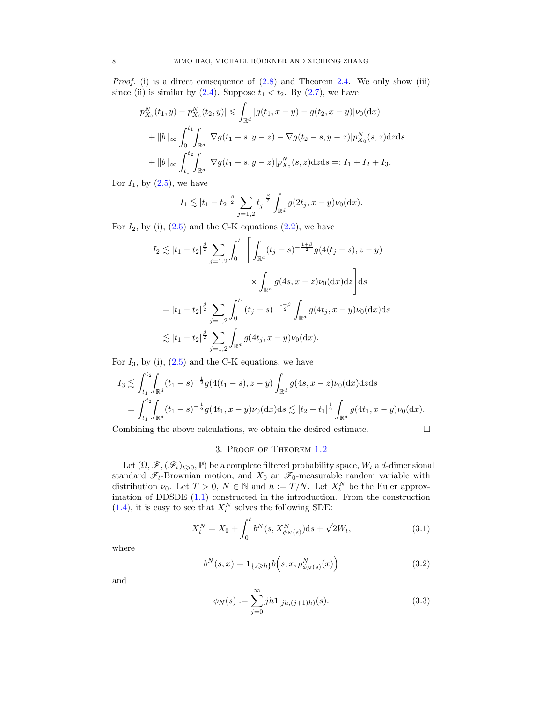*Proof.* (i) is a direct consequence of  $(2.8)$  and Theorem [2.4.](#page-4-5) We only show (iii) since (ii) is similar by  $(2.4)$ . Suppose  $t_1 < t_2$ . By  $(2.7)$ , we have

$$
|p_{X_0}^N(t_1, y) - p_{X_0}^N(t_2, y)| \leq \int_{\mathbb{R}^d} |g(t_1, x - y) - g(t_2, x - y)| \nu_0(\mathrm{d}x)
$$
  
+ 
$$
||b||_{\infty} \int_0^{t_1} \int_{\mathbb{R}^d} |\nabla g(t_1 - s, y - z) - \nabla g(t_2 - s, y - z)| p_{X_0}^N(s, z) \mathrm{d}z \mathrm{d}s
$$
  
+ 
$$
||b||_{\infty} \int_{t_1}^{t_2} \int_{\mathbb{R}^d} |\nabla g(t_1 - s, y - z)| p_{X_0}^N(s, z) \mathrm{d}z \mathrm{d}s =: I_1 + I_2 + I_3.
$$

For  $I_1$ , by  $(2.5)$ , we have

$$
I_1 \lesssim |t_1 - t_2|^{\frac{\beta}{2}} \sum_{j=1,2} t_j^{-\frac{\beta}{2}} \int_{\mathbb{R}^d} g(2t_j, x - y) \nu_0(\mathrm{d}x).
$$

For  $I_2$ , by (i), [\(2.5\)](#page-3-4) and the C-K equations [\(2.2\)](#page-3-2), we have

$$
I_2 \lesssim |t_1 - t_2|^{\frac{\beta}{2}} \sum_{j=1,2} \int_0^{t_1} \left[ \int_{\mathbb{R}^d} (t_j - s)^{-\frac{1+\beta}{2}} g(4(t_j - s), z - y) \right. \\ \times \int_{\mathbb{R}^d} g(4s, x - z) \nu_0(\mathrm{d}x) \mathrm{d}z \right] \mathrm{d}s
$$
  
=  $|t_1 - t_2|^{\frac{\beta}{2}} \sum_{j=1,2} \int_0^{t_1} (t_j - s)^{-\frac{1+\beta}{2}} \int_{\mathbb{R}^d} g(4t_j, x - y) \nu_0(\mathrm{d}x) \mathrm{d}s$   
 $\lesssim |t_1 - t_2|^{\frac{\beta}{2}} \sum_{j=1,2} \int_{\mathbb{R}^d} g(4t_j, x - y) \nu_0(\mathrm{d}x).$ 

For  $I_3$ , by (i), [\(2.5\)](#page-3-4) and the C-K equations, we have

$$
I_3 \lesssim \int_{t_1}^{t_2} \int_{\mathbb{R}^d} (t_1 - s)^{-\frac{1}{2}} g(4(t_1 - s), z - y) \int_{\mathbb{R}^d} g(4s, x - z) \nu_0(\mathrm{d}x) \mathrm{d}z \mathrm{d}s
$$
  
= 
$$
\int_{t_1}^{t_2} \int_{\mathbb{R}^d} (t_1 - s)^{-\frac{1}{2}} g(4t_1, x - y) \nu_0(\mathrm{d}x) \mathrm{d}s \lesssim |t_2 - t_1|^{\frac{1}{2}} \int_{\mathbb{R}^d} g(4t_1, x - y) \nu_0(\mathrm{d}x).
$$

Combining the above calculations, we obtain the desired estimate.

<span id="page-7-0"></span>
$$
\Box
$$

## 3. Proof of Theorem [1.2](#page-1-1)

Let  $(\Omega, \mathscr{F}, (\mathscr{F}_t)_{t\geqslant0}, \mathbb{P})$  be a complete filtered probability space,  $W_t$  a d-dimensional standard  $\mathscr{F}_t$ -Brownian motion, and  $X_0$  an  $\mathscr{F}_0$ -measurable random variable with distribution  $\nu_0$ . Let  $T > 0$ ,  $N \in \mathbb{N}$  and  $h := T/N$ . Let  $X_t^N$  be the Euler approximation of DDSDE [\(1.1\)](#page-0-0) constructed in the introduction. From the construction  $(1.4)$ , it is easy to see that  $X_t^N$  solves the following SDE:

$$
X_t^N = X_0 + \int_0^t b^N(s, X_{\phi_N(s)}^N) \mathrm{d} s + \sqrt{2} W_t,\tag{3.1}
$$

where

$$
b^{N}(s,x) = \mathbf{1}_{\{s \ge h\}} b(s,x,\rho^{N}_{\phi_{N}(s)}(x))
$$
\n(3.2)

and

$$
\phi_N(s) := \sum_{j=0}^{\infty} jh \mathbf{1}_{[jh,(j+1)h)}(s). \tag{3.3}
$$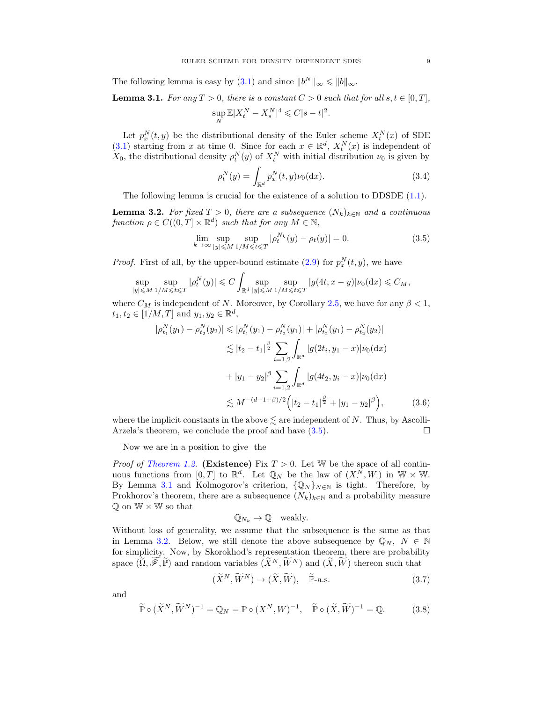The following lemma is easy by [\(3.1\)](#page-7-0) and since  $||b^N||_{\infty} \le ||b||_{\infty}$ .

<span id="page-8-1"></span>**Lemma 3.1.** For any  $T > 0$ , there is a constant  $C > 0$  such that for all  $s, t \in [0, T]$ ,  $\sup_N \mathbb{E}|X_t^N - X_s^N|^4 \leqslant C|s-t|^2.$ 

Let  $p_x^N(t, y)$  be the distributional density of the Euler scheme  $X_t^N(x)$  of SDE [\(3.1\)](#page-7-0) starting from x at time 0. Since for each  $x \in \mathbb{R}^d$ ,  $X_t^N(x)$  is independent of  $X_0$ , the distributional density  $\rho_t^N(y)$  of  $X_t^N$  with initial distribution  $\nu_0$  is given by

<span id="page-8-6"></span><span id="page-8-0"></span>
$$
\rho_t^N(y) = \int_{\mathbb{R}^d} p_x^N(t, y) \nu_0(\mathrm{d}x). \tag{3.4}
$$

The following lemma is crucial for the existence of a solution to  $DDSDE(1.1)$ .

<span id="page-8-2"></span>**Lemma 3.2.** For fixed  $T > 0$ , there are a subsequence  $(N_k)_{k \in \mathbb{N}}$  and a continuous function  $\rho \in C((0,T] \times \mathbb{R}^d)$  such that for any  $M \in \mathbb{N}$ ,

$$
\lim_{k \to \infty} \sup_{|y| \le M} \sup_{1/M \le t \le T} |\rho_t^{N_k}(y) - \rho_t(y)| = 0.
$$
\n(3.5)

*Proof.* First of all, by the upper-bound estimate [\(2.9\)](#page-4-6) for  $p_x^N(t, y)$ , we have

$$
\sup_{|y| \leq M} \sup_{1/M \leq t \leq T} |\rho_t^N(y)| \leq C \int_{\mathbb{R}^d} \sup_{|y| \leq M} \sup_{1/M \leq t \leq T} |g(4t, x - y)| \nu_0(\mathrm{d}x) \leq C_M,
$$

where  $C_M$  is independent of N. Moreover, by Corollary [2.5,](#page-6-0) we have for any  $\beta < 1$ ,  $t_1, t_2 \in [1/M, T]$  and  $y_1, y_2 \in \mathbb{R}^d$ ,

$$
|\rho_{t_1}^N(y_1) - \rho_{t_2}^N(y_2)| \le |\rho_{t_1}^N(y_1) - \rho_{t_2}^N(y_1)| + |\rho_{t_2}^N(y_1) - \rho_{t_2}^N(y_2)|
$$
  
\n
$$
\lesssim |t_2 - t_1|^{\frac{\beta}{2}} \sum_{i=1,2} \int_{\mathbb{R}^d} |g(2t_i, y_1 - x)| \nu_0(\mathrm{d}x)
$$
  
\n
$$
+ |y_1 - y_2|^{\beta} \sum_{i=1,2} \int_{\mathbb{R}^d} |g(4t_2, y_i - x)| \nu_0(\mathrm{d}x)
$$
  
\n
$$
\lesssim M^{-(d+1+\beta)/2} \Big( |t_2 - t_1|^{\frac{\beta}{2}} + |y_1 - y_2|^{\beta} \Big), \tag{3.6}
$$

where the implicit constants in the above  $\leq$  are independent of N. Thus, by Ascolli-Arzela's theorem, we conclude the proof and have  $(3.5)$ .

Now we are in a position to give the

*Proof of [Theorem 1.2.](#page-1-1)* (Existence) Fix  $T > 0$ . Let W be the space of all continuous functions from  $[0,T]$  to  $\mathbb{R}^d$ . Let  $\mathbb{Q}_N$  be the law of  $(X^{\overline{N}}_1, W_1)$  in  $\mathbb{W} \times \mathbb{W}$ . By Lemma [3.1](#page-8-1) and Kolmogorov's criterion,  $\{Q_N\}_{N\in\mathbb{N}}$  is tight. Therefore, by Prokhorov's theorem, there are a subsequence  $(N_k)_{k\in\mathbb{N}}$  and a probability measure  $\mathbb Q$  on  $\mathbb W \times \mathbb W$  so that

<span id="page-8-5"></span><span id="page-8-4"></span><span id="page-8-3"></span>
$$
\mathbb{Q}_{N_k} \to \mathbb{Q} \quad \text{weakly.}
$$

Without loss of generality, we assume that the subsequence is the same as that in Lemma [3.2.](#page-8-2) Below, we still denote the above subsequence by  $\mathbb{Q}_N$ ,  $N \in \mathbb{N}$ for simplicity. Now, by Skorokhod's representation theorem, there are probability space  $(\widetilde{\Omega}, \widetilde{\mathscr{F}}, \widetilde{\mathbb{P}})$  and random variables  $(\widetilde{X}^N, \widetilde{W}^N)$  and  $(\widetilde{X}, \widetilde{W})$  thereon such that

$$
(\widetilde{X}^N, \widetilde{W}^N) \to (\widetilde{X}, \widetilde{W}), \quad \widetilde{\mathbb{P}}\text{-a.s.}
$$
\n(3.7)

and

$$
\widetilde{\mathbb{P}} \circ (\widetilde{X}^N, \widetilde{W}^N)^{-1} = \mathbb{Q}_N = \mathbb{P} \circ (X^N, W)^{-1}, \quad \widetilde{\mathbb{P}} \circ (\widetilde{X}, \widetilde{W})^{-1} = \mathbb{Q}.
$$
 (3.8)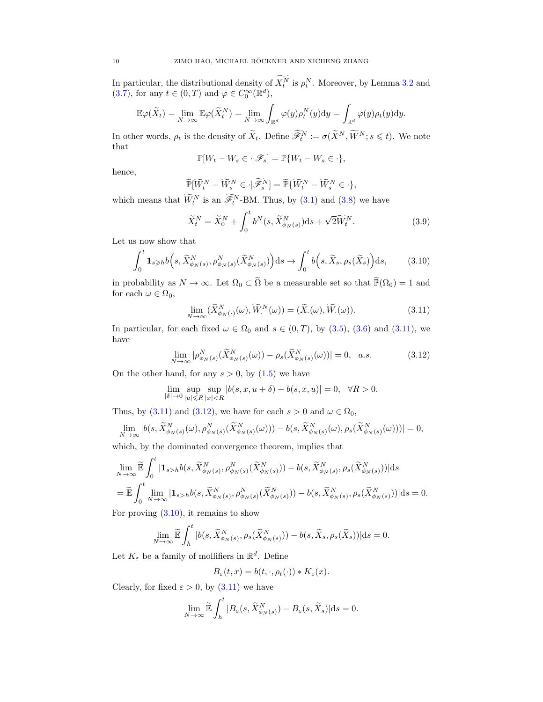In particular, the distributional density of  $X_t^N$  is  $\rho_t^N$ . Moreover, by Lemma [3.2](#page-8-2) and [\(3.7\)](#page-8-3), for any  $t \in (0, T)$  and  $\varphi \in C_0^{\infty}(\mathbb{R}^d)$ ,

$$
\mathbb{E}\varphi(\widetilde{X}_t) = \lim_{N \to \infty} \mathbb{E}\varphi(\widetilde{X}_t^N) = \lim_{N \to \infty} \int_{\mathbb{R}^d} \varphi(y)\rho_t^N(y) \mathrm{d}y = \int_{\mathbb{R}^d} \varphi(y)\rho_t(y) \mathrm{d}y.
$$

In other words,  $\rho_t$  is the density of  $\widetilde{X}_t$ . Define  $\widetilde{\mathscr{F}}_t^N := \sigma(\widetilde{X}^N, \widetilde{W}^N; s \leq t)$ . We note that

$$
\mathbb{P}[W_t - W_s \in \cdot | \mathscr{F}_s] = \mathbb{P}\{W_t - W_s \in \cdot\},\
$$

hence,

$$
\widetilde{\mathbb{P}}[\widetilde{W}_t^N - \widetilde{W}_s^N \in \cdot \, | \widetilde{\mathscr{F}}_s^N] = \widetilde{\mathbb{P}} \{\widetilde{W}_t^N - \widetilde{W}_s^N \in \cdot \},
$$

which means that  $\tilde{W}_t^N$  is an  $\tilde{\mathscr{F}}_t^N$ -BM. Thus, by [\(3.1\)](#page-7-0) and [\(3.8\)](#page-8-4) we have

<span id="page-9-2"></span>
$$
\widetilde{X}_t^N = \widetilde{X}_0^N + \int_0^t b^N(s, \widetilde{X}_{\phi_N(s)}^N) \mathrm{d}s + \sqrt{2} \widetilde{W}_t^N. \tag{3.9}
$$

Let us now show that

$$
\int_0^t \mathbf{1}_{s \geqslant h} b(s, \widetilde{X}_{\phi_N(s)}^N, \rho_{\phi_N(s)}^N(\widetilde{X}_{\phi_N(s)}^N)) \, ds \to \int_0^t b(s, \widetilde{X}_s, \rho_s(\widetilde{X}_s)) \, ds,\tag{3.10}
$$

in probability as  $N \to \infty$ . Let  $\Omega_0 \subset \tilde{\Omega}$  be a measurable set so that  $\tilde{\mathbb{P}}(\Omega_0) = 1$  and for each  $\omega \in \Omega_0$ ,

<span id="page-9-1"></span><span id="page-9-0"></span>
$$
\lim_{N \to \infty} (\widetilde{X}_{\phi_N(\cdot)}^N(\omega), \widetilde{W}_\cdot^N(\omega)) = (\widetilde{X}_\cdot(\omega), \widetilde{W}_\cdot(\omega)).
$$
\n(3.11)

In particular, for each fixed  $\omega \in \Omega_0$  and  $s \in (0,T)$ , by  $(3.5)$ ,  $(3.6)$  and  $(3.11)$ , we have

$$
\lim_{N \to \infty} |\rho_{\phi_N(s)}^N(\widetilde{X}_{\phi_N(s)}^N(\omega)) - \rho_s(\widetilde{X}_{\phi_N(s)}^N(\omega))| = 0, \quad a.s.
$$
\n(3.12)

On the other hand, for any  $s > 0$ , by  $(1.5)$  we have

$$
\lim_{|\delta| \to 0} \sup_{|u| \le R} \sup_{|x| < R} |b(s, x, u + \delta) - b(s, x, u)| = 0, \quad \forall R > 0.
$$

Thus, by [\(3.11\)](#page-9-0) and [\(3.12\)](#page-9-1), we have for each  $s > 0$  and  $\omega \in \Omega_0$ ,

$$
\lim_{N \to \infty} |b(s, \widetilde{X}_{\phi_N(s)}^N(\omega), \rho_{\phi_N(s)}^N(\widetilde{X}_{\phi_N(s)}^N(\omega))) - b(s, \widetilde{X}_{\phi_N(s)}^N(\omega), \rho_s(\widetilde{X}_{\phi_N(s)}^N(\omega)))| = 0,
$$

which, by the dominated convergence theorem, implies that

$$
\lim_{N \to \infty} \widetilde{\mathbb{E}} \int_0^t |\mathbf{1}_{s>h} b(s, \widetilde{X}_{\phi_N(s)}^N, \rho_{\phi_N(s)}^N(\widetilde{X}_{\phi_N(s)}^N)) - b(s, \widetilde{X}_{\phi_N(s)}^N, \rho_s(\widetilde{X}_{\phi_N(s)}^N))| ds \n= \widetilde{\mathbb{E}} \int_0^t \lim_{N \to \infty} |\mathbf{1}_{s>h} b(s, \widetilde{X}_{\phi_N(s)}^N, \rho_{\phi_N(s)}^N(\widetilde{X}_{\phi_N(s)}^N)) - b(s, \widetilde{X}_{\phi_N(s)}^N, \rho_s(\widetilde{X}_{\phi_N(s)}^N))| ds = 0.
$$

For proving  $(3.10)$ , it remains to show

$$
\lim_{N \to \infty} \widetilde{\mathbb{E}} \int_{h}^{t} |b(s, \widetilde{X}_{\phi_N(s)}^N, \rho_s(\widetilde{X}_{\phi_N(s)}^N)) - b(s, \widetilde{X}_s, \rho_s(\widetilde{X}_s))| ds = 0.
$$

Let  $K_{\varepsilon}$  be a family of mollifiers in  $\mathbb{R}^d$ . Define

$$
B_{\varepsilon}(t,x) = b(t,\cdot,\rho_t(\cdot)) * K_{\varepsilon}(x).
$$

Clearly, for fixed  $\varepsilon > 0$ , by  $(3.11)$  we have

$$
\lim_{N \to \infty} \widetilde{\mathbb{E}} \int_h^t |B_{\varepsilon}(s, \widetilde{X}_{\phi_N(s)}^N) - B_{\varepsilon}(s, \widetilde{X}_s)| \mathrm{d}s = 0.
$$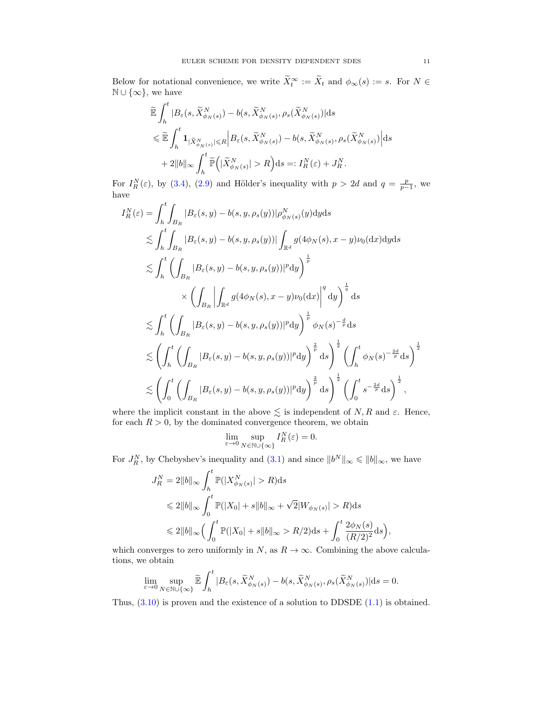Below for notational convenience, we write  $\widetilde{X}_t^{\infty} := \widetilde{X}_t$  and  $\phi_{\infty}(s) := s$ . For  $N \in \mathbb{N}$  $\mathbb{N} \cup \{\infty\}$ , we have

$$
\tilde{\mathbb{E}} \int_{h}^{t} |B_{\varepsilon}(s, \tilde{X}_{\phi_N(s)}^{N}) - b(s, \tilde{X}_{\phi_N(s)}^{N}, \rho_s(\tilde{X}_{\phi_N(s)}^{N})| ds \n\leq \tilde{\mathbb{E}} \int_{h}^{t} \mathbf{1}_{|\tilde{X}_{\phi_N(s)}^{N}| \leq R} \Big| B_{\varepsilon}(s, \tilde{X}_{\phi_N(s)}^{N}) - b(s, \tilde{X}_{\phi_N(s)}^{N}, \rho_s(\tilde{X}_{\phi_N(s)}^{N}) \Big| ds \n+ 2||b||_{\infty} \int_{h}^{t} \tilde{\mathbb{P}} \Big( |\tilde{X}_{\phi_N(s)}^{N}| > R \Big) ds =: I_R^N(\varepsilon) + J_R^N.
$$

For  $I_R^N(\varepsilon)$ , by [\(3.4\)](#page-8-6), [\(2.9\)](#page-4-6) and Hölder's inequality with  $p > 2d$  and  $q = \frac{p}{p-1}$ , we have

$$
I_R^N(\varepsilon) = \int_h^t \int_{B_R} |B_{\varepsilon}(s, y) - b(s, y, \rho_s(y))| \rho_{\phi_N(s)}^N(y) dy ds
$$
  
\n
$$
\lesssim \int_h^t \int_{B_R} |B_{\varepsilon}(s, y) - b(s, y, \rho_s(y))| \int_{\mathbb{R}^d} g(4\phi_N(s), x - y) \nu_0(dx) dy ds
$$
  
\n
$$
\lesssim \int_h^t \left( \int_{B_R} |B_{\varepsilon}(s, y) - b(s, y, \rho_s(y))|^p dy \right)^{\frac{1}{p}}
$$
  
\n
$$
\times \left( \int_{B_R} \left| \int_{\mathbb{R}^d} g(4\phi_N(s), x - y) \nu_0(dx) \right|^q dy \right)^{\frac{1}{q}} ds
$$
  
\n
$$
\lesssim \int_h^t \left( \int_{B_R} |B_{\varepsilon}(s, y) - b(s, y, \rho_s(y))|^p dy \right)^{\frac{1}{p}} \phi_N(s)^{-\frac{d}{p}} ds
$$
  
\n
$$
\lesssim \left( \int_h^t \left( \int_{B_R} |B_{\varepsilon}(s, y) - b(s, y, \rho_s(y))|^p dy \right)^{\frac{2}{p}} ds \right)^{\frac{1}{2}} \left( \int_h^t \phi_N(s)^{-\frac{2d}{p}} ds \right)^{\frac{1}{2}}
$$
  
\n
$$
\lesssim \left( \int_0^t \left( \int_{B_R} |B_{\varepsilon}(s, y) - b(s, y, \rho_s(y))|^p dy \right)^{\frac{2}{p}} ds \right)^{\frac{1}{2}} \left( \int_0^t s^{-\frac{2d}{p}} ds \right)^{\frac{1}{2}},
$$

where the implicit constant in the above  $\leq$  is independent of N, R and  $\varepsilon$ . Hence, for each  $R > 0$ , by the dominated convergence theorem, we obtain

$$
\lim_{\varepsilon \to 0} \sup_{N \in \mathbb{N} \cup \{\infty\}} I_R^N(\varepsilon) = 0.
$$

For  $J_R^N$ , by Chebyshev's inequality and  $(3.1)$  and since  $||b^N||_{\infty} \le ||b||_{\infty}$ , we have

$$
J_R^N = 2||b||_{\infty} \int_h^t \mathbb{P}(|X_{\phi_N(s)}^N| > R) ds
$$
  
\$\leq 2||b||\_{\infty} \int\_0^t \mathbb{P}(|X\_0| + s||b||\_{\infty} + \sqrt{2}|W\_{\phi\_N(s)}| > R) ds\$  
\$\leq 2||b||\_{\infty} \Big(\int\_0^t \mathbb{P}(|X\_0| + s||b||\_{\infty} > R/2) ds + \int\_0^t \frac{2\phi\_N(s)}{(R/2)^2} ds\Big),

which converges to zero uniformly in N, as  $R \to \infty$ . Combining the above calculations, we obtain

$$
\lim_{\varepsilon \to 0} \sup_{N \in \mathbb{N} \cup \{\infty\}} \widetilde{\mathbb{E}} \int_{h}^{t} |B_{\varepsilon}(s, \widetilde{X}_{\phi_N(s)}^N) - b(s, \widetilde{X}_{\phi_N(s)}^N, \rho_s(\widetilde{X}_{\phi_N(s)}^N) | ds = 0.
$$

Thus,  $(3.10)$  is proven and the existence of a solution to DDSDE  $(1.1)$  is obtained.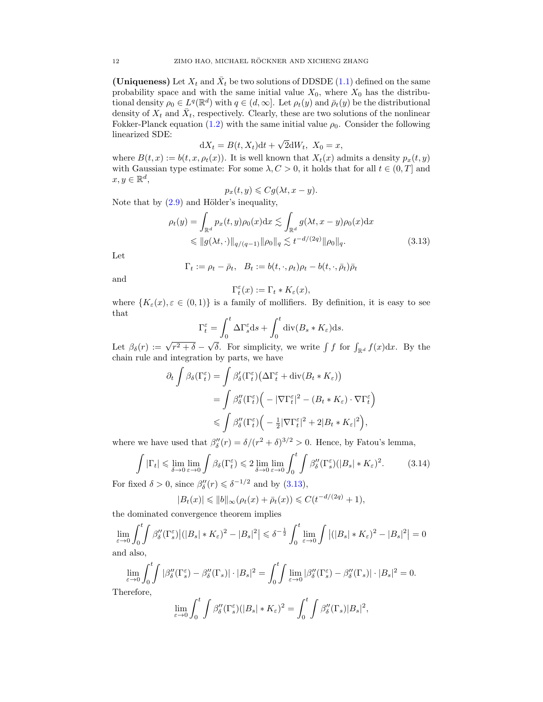(Uniqueness) Let  $X_t$  and  $\bar{X}_t$  be two solutions of DDSDE [\(1.1\)](#page-0-0) defined on the same probability space and with the same initial value  $X_0$ , where  $X_0$  has the distributional density  $\rho_0 \in L^q(\mathbb{R}^d)$  with  $q \in (d, \infty]$ . Let  $\rho_t(y)$  and  $\overline{\rho}_t(y)$  be the distributional density of  $X_t$  and  $\bar{X}_t$ , respectively. Clearly, these are two solutions of the nonlinear Fokker-Planck equation [\(1.2\)](#page-0-2) with the same initial value  $\rho_0$ . Consider the following linearized SDE: √

$$
dX_t = B(t, X_t)dt + \sqrt{2}dW_t, \ X_0 = x,
$$

where  $B(t, x) := b(t, x, \rho_t(x))$ . It is well known that  $X_t(x)$  admits a density  $p_x(t, y)$ with Gaussian type estimate: For some  $\lambda, C > 0$ , it holds that for all  $t \in (0, T]$  and  $x, y \in \mathbb{R}^d$ ,

$$
p_x(t, y) \leqslant Cg(\lambda t, x - y).
$$

Note that by  $(2.9)$  and Hölder's inequality,

$$
\rho_t(y) = \int_{\mathbb{R}^d} p_x(t, y) \rho_0(x) dx \lesssim \int_{\mathbb{R}^d} g(\lambda t, x - y) \rho_0(x) dx
$$
  
\$\leq \left\| g(\lambda t, \cdot) \right\|\_{q/(q-1)} \|\rho\_0\|\_q \lesssim t^{-d/(2q)} \|\rho\_0\|\_q. \tag{3.13}

Let

$$
\Gamma_t := \rho_t - \bar{\rho}_t, \quad B_t := b(t, \cdot, \rho_t)\rho_t - b(t, \cdot, \bar{\rho}_t)\bar{\rho}_t
$$

and

<span id="page-11-0"></span>
$$
\Gamma_t^{\varepsilon}(x) := \Gamma_t * K_{\varepsilon}(x),
$$

where  $\{K_{\varepsilon}(x), \varepsilon \in (0,1)\}\$ is a family of mollifiers. By definition, it is easy to see that

$$
\Gamma_t^{\varepsilon} = \int_0^t \Delta \Gamma_s^{\varepsilon} ds + \int_0^t \mathrm{div}(B_s * K_{\varepsilon}) ds.
$$

Let  $\beta_{\delta}(r) := \sqrt{r^2 + \delta}$  –  $\sqrt{\delta}$ . For simplicity, we write  $\int f$  for  $\int_{\mathbb{R}^d} f(x) dx$ . By the chain rule and integration by parts, we have

$$
\partial_t \int \beta_{\delta}(\Gamma_t^{\varepsilon}) = \int \beta_{\delta}'(\Gamma_t^{\varepsilon}) \big(\Delta \Gamma_t^{\varepsilon} + \text{div}(B_t * K_{\varepsilon})\big)
$$
  
= 
$$
\int \beta_{\delta}''(\Gamma_t^{\varepsilon}) \Big( -|\nabla \Gamma_t^{\varepsilon}|^2 - (B_t * K_{\varepsilon}) \cdot \nabla \Gamma_t^{\varepsilon} \Big)
$$
  

$$
\leqslant \int \beta_{\delta}''(\Gamma_t^{\varepsilon}) \Big( -\frac{1}{2}|\nabla \Gamma_t^{\varepsilon}|^2 + 2|B_t * K_{\varepsilon}|^2 \Big),
$$

where we have used that  $\beta''_{\delta}(r) = \delta/(r^2 + \delta)^{3/2} > 0$ . Hence, by Fatou's lemma,

$$
\int |\Gamma_t| \leq \lim_{\delta \to 0} \lim_{\varepsilon \to 0} \int \beta_\delta(\Gamma_t^{\varepsilon}) \leq 2 \lim_{\delta \to 0} \lim_{\varepsilon \to 0} \int_0^t \int \beta_\delta''(\Gamma_s^{\varepsilon}) (|B_s| * K_{\varepsilon})^2. \tag{3.14}
$$

For fixed  $\delta > 0$ , since  $\beta''_{\delta}(r) \leq \delta^{-1/2}$  and by  $(3.13)$ ,

<span id="page-11-1"></span>
$$
|B_t(x)| \le ||b||_{\infty}(\rho_t(x) + \bar{\rho}_t(x)) \le C(t^{-d/(2q)} + 1),
$$

the dominated convergence theorem implies

$$
\lim_{\varepsilon \to 0} \int_0^t \int \beta_\delta''(\Gamma_s^\varepsilon) \left| (|B_s| * K_\varepsilon)^2 - |B_s|^2 \right| \leq \delta^{-\frac{1}{2}} \int_0^t \lim_{\varepsilon \to 0} \int \left| (|B_s| * K_\varepsilon)^2 - |B_s|^2 \right| = 0
$$
 and also,

$$
\lim_{\varepsilon \to 0} \int_0^t \int |\beta_\delta''(\Gamma^\varepsilon_s) - \beta_\delta''(\Gamma_s)| \cdot |B_s|^2 = \int_0^t \int \lim_{\varepsilon \to 0} |\beta_\delta''(\Gamma^\varepsilon_s) - \beta_\delta''(\Gamma_s)| \cdot |B_s|^2 = 0.
$$

Therefore,

$$
\lim_{\varepsilon \to 0} \int_0^t \int \beta_\delta''(\Gamma_s^{\varepsilon}) (|B_s| * K_{\varepsilon})^2 = \int_0^t \int \beta_\delta''(\Gamma_s) |B_s|^2,
$$